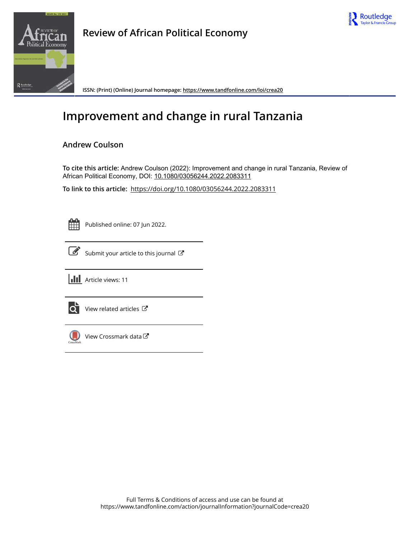



**Review of African Political Economy**

**ISSN: (Print) (Online) Journal homepage:<https://www.tandfonline.com/loi/crea20>**

# **Improvement and change in rural Tanzania**

# **Andrew Coulson**

**To cite this article:** Andrew Coulson (2022): Improvement and change in rural Tanzania, Review of African Political Economy, DOI: [10.1080/03056244.2022.2083311](https://www.tandfonline.com/action/showCitFormats?doi=10.1080/03056244.2022.2083311)

**To link to this article:** <https://doi.org/10.1080/03056244.2022.2083311>

Published online: 07 Jun 2022.



 $\overrightarrow{S}$  [Submit your article to this journal](https://www.tandfonline.com/action/authorSubmission?journalCode=crea20&show=instructions)  $\overrightarrow{S}$ 





 $\overrightarrow{Q}$  [View related articles](https://www.tandfonline.com/doi/mlt/10.1080/03056244.2022.2083311)  $\overrightarrow{C}$ 



[View Crossmark data](http://crossmark.crossref.org/dialog/?doi=10.1080/03056244.2022.2083311&domain=pdf&date_stamp=2022-06-07)  $\sigma$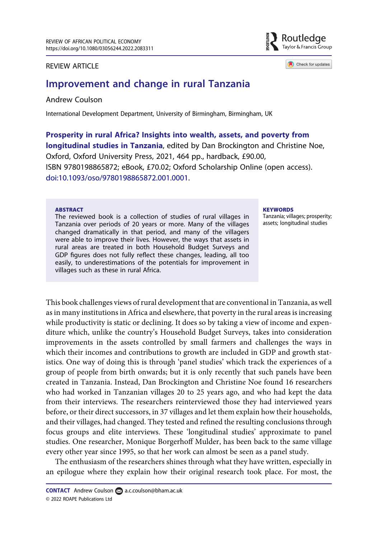# REVIEW ARTICLE

# Improvement and change in rural Tanzania

# Andrew Coulson

International Development Department, University of Birmingham, Birmingham, UK

Prosperity in rural Africa? Insights into wealth, assets, and poverty from longitudinal studies in Tanzania, edited by Dan Brockington and Christine Noe, Oxford, Oxford University Press, 2021, 464 pp., hardback, £90.00, ISBN 9780198865872; eBook, £70.02; Oxford Scholarship Online (open access). [doi:10.1093/oso/9780198865872.001.0001.](https://doi.org/10.1093/oso/9780198865872.001.0001)

#### ABSTRACT

The reviewed book is a collection of studies of rural villages in Tanzania over periods of 20 years or more. Many of the villages changed dramatically in that period, and many of the villagers were able to improve their lives. However, the ways that assets in rural areas are treated in both Household Budget Surveys and GDP figures does not fully reflect these changes, leading, all too easily, to underestimations of the potentials for improvement in villages such as these in rural Africa.

#### **KEYWORDS**

Tanzania; villages; prosperity; assets; longitudinal studies

This book challenges views of rural development that are conventional in Tanzania, as well as in many institutions in Africa and elsewhere, that poverty in the rural areas is increasing while productivity is static or declining. It does so by taking a view of income and expenditure which, unlike the country's Household Budget Surveys, takes into consideration improvements in the assets controlled by small farmers and challenges the ways in which their incomes and contributions to growth are included in GDP and growth statistics. One way of doing this is through 'panel studies' which track the experiences of a group of people from birth onwards; but it is only recently that such panels have been created in Tanzania. Instead, Dan Brockington and Christine Noe found 16 researchers who had worked in Tanzanian villages 20 to 25 years ago, and who had kept the data from their interviews. The researchers reinterviewed those they had interviewed years before, or their direct successors, in 37 villages and let them explain how their households, and their villages, had changed. They tested and refined the resulting conclusions through focus groups and elite interviews. These 'longitudinal studies' approximate to panel studies. One researcher, Monique Borgerhoff Mulder, has been back to the same village every other year since 1995, so that her work can almost be seen as a panel study.

The enthusiasm of the researchers shines through what they have written, especially in an epilogue where they explain how their original research took place. For most, the



Check for updates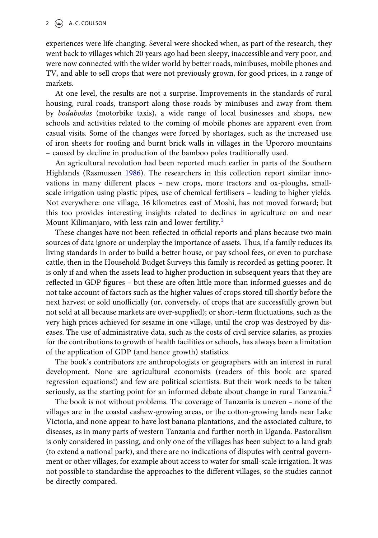experiences were life changing. Several were shocked when, as part of the research, they went back to villages which 20 years ago had been sleepy, inaccessible and very poor, and were now connected with the wider world by better roads, minibuses, mobile phones and TV, and able to sell crops that were not previously grown, for good prices, in a range of markets.

At one level, the results are not a surprise. Improvements in the standards of rural housing, rural roads, transport along those roads by minibuses and away from them by bodabodas (motorbike taxis), a wide range of local businesses and shops, new schools and activities related to the coming of mobile phones are apparent even from casual visits. Some of the changes were forced by shortages, such as the increased use of iron sheets for roofing and burnt brick walls in villages in the Upororo mountains – caused by decline in production of the bamboo poles traditionally used.

<span id="page-2-0"></span>An agricultural revolution had been reported much earlier in parts of the Southern Highlands (Rasmussen [1986\)](#page-4-0). The researchers in this collection report similar innovations in many different places – new crops, more tractors and ox-ploughs, smallscale irrigation using plastic pipes, use of chemical fertilisers – leading to higher yields. Not everywhere: one village, 16 kilometres east of Moshi, has not moved forward; but this too provides interesting insights related to declines in agriculture on and near Mount Kilimanjaro, with less rain and lower fertility.<sup>[1](#page-3-0)</sup>

These changes have not been reflected in official reports and plans because two main sources of data ignore or underplay the importance of assets. Thus, if a family reduces its living standards in order to build a better house, or pay school fees, or even to purchase cattle, then in the Household Budget Surveys this family is recorded as getting poorer. It is only if and when the assets lead to higher production in subsequent years that they are reflected in GDP figures – but these are often little more than informed guesses and do not take account of factors such as the higher values of crops stored till shortly before the next harvest or sold unofficially (or, conversely, of crops that are successfully grown but not sold at all because markets are over-supplied); or short-term fluctuations, such as the very high prices achieved for sesame in one village, until the crop was destroyed by diseases. The use of administrative data, such as the costs of civil service salaries, as proxies for the contributions to growth of health facilities or schools, has always been a limitation of the application of GDP (and hence growth) statistics.

The book's contributors are anthropologists or geographers with an interest in rural development. None are agricultural economists (readers of this book are spared regression equations!) and few are political scientists. But their work needs to be taken seriously, as the starting point for an informed debate about change in rural Tanzania.<sup>2</sup>

The book is not without problems. The coverage of Tanzania is uneven – none of the villages are in the coastal cashew-growing areas, or the cotton-growing lands near Lake Victoria, and none appear to have lost banana plantations, and the associated culture, to diseases, as in many parts of western Tanzania and further north in Uganda. Pastoralism is only considered in passing, and only one of the villages has been subject to a land grab (to extend a national park), and there are no indications of disputes with central government or other villages, for example about access to water for small-scale irrigation. It was not possible to standardise the approaches to the different villages, so the studies cannot be directly compared.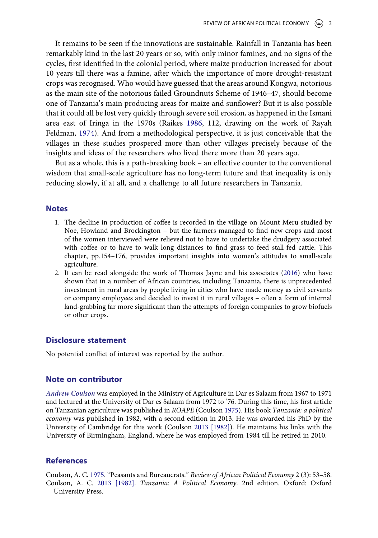It remains to be seen if the innovations are sustainable. Rainfall in Tanzania has been remarkably kind in the last 20 years or so, with only minor famines, and no signs of the cycles, first identified in the colonial period, where maize production increased for about 10 years till there was a famine, after which the importance of more drought-resistant crops was recognised. Who would have guessed that the areas around Kongwa, notorious as the main site of the notorious failed Groundnuts Scheme of 1946–47, should become one of Tanzania's main producing areas for maize and sunflower? But it is also possible that it could all be lost very quickly through severe soil erosion, as happened in the Ismani area east of Iringa in the 1970s (Raikes [1986,](#page-4-1) 112, drawing on the work of Rayah Feldman, [1974](#page-4-2)). And from a methodological perspective, it is just conceivable that the villages in these studies prospered more than other villages precisely because of the insights and ideas of the researchers who lived there more than 20 years ago.

<span id="page-3-7"></span><span id="page-3-6"></span>But as a whole, this is a path-breaking book – an effective counter to the conventional wisdom that small-scale agriculture has no long-term future and that inequality is only reducing slowly, if at all, and a challenge to all future researchers in Tanzania.

### <span id="page-3-0"></span>**Notes**

- 1. The decline in production of coffee is recorded in the village on Mount Meru studied by Noe, Howland and Brockington – but the farmers managed to find new crops and most of the women interviewed were relieved not to have to undertake the drudgery associated with coffee or to have to walk long distances to find grass to feed stall-fed cattle. This chapter, pp.154–176, provides important insights into women's attitudes to small-scale agriculture.
- <span id="page-3-1"></span>2. It can be read alongside the work of Thomas Jayne and his associates [\(2016\)](#page-4-3) who have shown that in a number of African countries, including Tanzania, there is unprecedented investment in rural areas by people living in cities who have made money as civil servants or company employees and decided to invest it in rural villages – often a form of internal land-grabbing far more significant than the attempts of foreign companies to grow biofuels or other crops.

# Disclosure statement

No potential conflict of interest was reported by the author.

# Note on contributor

<span id="page-3-5"></span><span id="page-3-4"></span>Andrew Coulson was employed in the Ministry of Agriculture in Dar es Salaam from 1967 to 1971 and lectured at the University of Dar es Salaam from 1972 to '76. During this time, his first article on Tanzanian agriculture was published in ROAPE (Coulson [1975](#page-3-2)). His book Tanzania: a political economy was published in 1982, with a second edition in 2013. He was awarded his PhD by the University of Cambridge for this work (Coulson [2013 \[1982\]](#page-3-3)). He maintains his links with the University of Birmingham, England, where he was employed from 1984 till he retired in 2010.

### References

<span id="page-3-3"></span><span id="page-3-2"></span>Coulson, A. C. [1975.](#page-3-4) "Peasants and Bureaucrats." Review of African Political Economy 2 (3): 53–58. Coulson, A. C. [2013 \[1982\]](#page-3-5). Tanzania: A Political Economy. 2nd edition. Oxford: Oxford University Press.